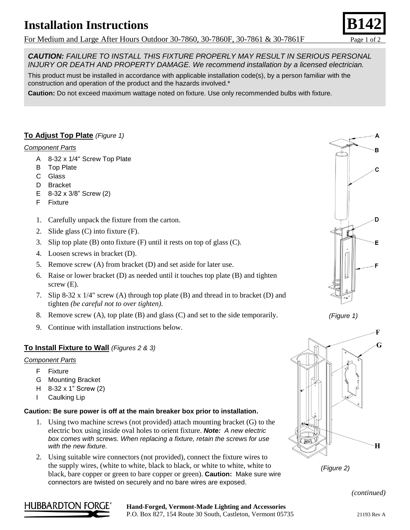# **Installation Instructions**

For Medium and Large After Hours Outdoor 30-7860, 30-7860F, 30-7861 & 30-7861F Page 1 of 2

*CAUTION: FAILURE TO INSTALL THIS FIXTURE PROPERLY MAY RESULT IN SERIOUS PERSONAL INJURY OR DEATH AND PROPERTY DAMAGE. We recommend installation by a licensed electrician.*

This product must be installed in accordance with applicable installation code(s), by a person familiar with the construction and operation of the product and the hazards involved.\*

**Caution:** Do not exceed maximum wattage noted on fixture. Use only recommended bulbs with fixture.

## **To Adjust Top Plate** *(Figure 1)*

#### *Component Parts*

- A 8-32 x 1/4" Screw Top Plate
- B Top Plate
- C Glass
- D Bracket
- E 8-32 x 3/8" Screw (2)
- F Fixture
- 1. Carefully unpack the fixture from the carton.
- 2. Slide glass (C) into fixture (F).
- 3. Slip top plate (B) onto fixture (F) until it rests on top of glass (C).
- 4. Loosen screws in bracket (D).
- 5. Remove screw (A) from bracket (D) and set aside for later use.
- 6. Raise or lower bracket (D) as needed until it touches top plate (B) and tighten screw  $(E)$ .
- 7. Slip 8-32 x 1/4" screw (A) through top plate (B) and thread in to bracket (D) and tighten *(be careful not to over tighten).*
- 8. Remove screw (A), top plate (B) and glass (C) and set to the side temporarily.
- 9. Continue with installation instructions below.

### **To Install Fixture to Wall** *(Figures 2 & 3)*

#### *Component Parts*

- F Fixture
- G Mounting Bracket
- H 8-32 x 1" Screw (2)
- I Caulking Lip

#### **Caution: Be sure power is off at the main breaker box prior to installation.**

- 1. Using two machine screws (not provided) attach mounting bracket (G) to the electric box using inside oval holes to orient fixture. *Note: A new electric box comes with screws. When replacing a fixture, retain the screws for use with the new fixture.*
- 2. Using suitable wire connectors (not provided), connect the fixture wires to the supply wires, (white to white, black to black, or white to white, white to black, bare copper or green to bare copper or green). **Caution:** Make sure wire connectors are twisted on securely and no bare wires are exposed.









*(continued)*



#### **Hand-Forged, Vermont-Made Lighting and Accessories** P.O. Box 827, 154 Route 30 South, Castleton, Vermont 05735 21193 Rev A